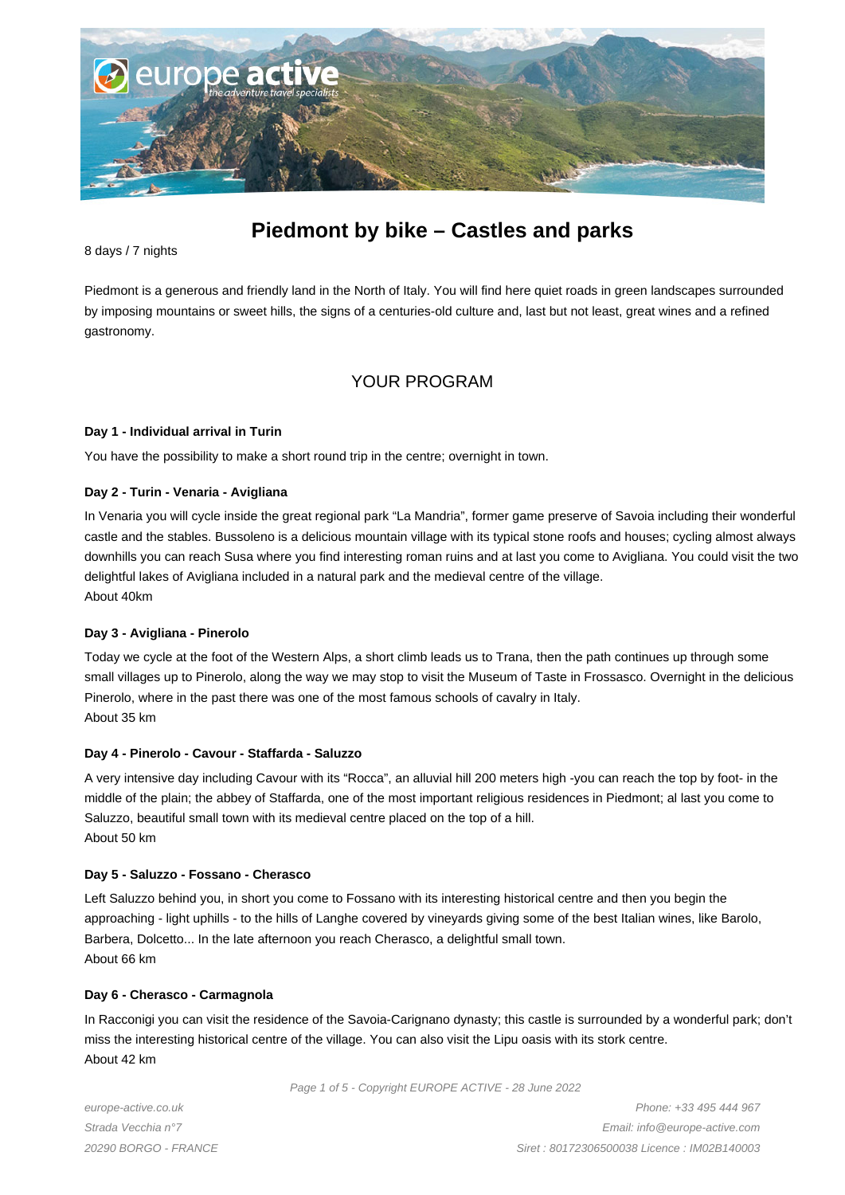

# **Piedmont by bike – Castles and parks**

8 days / 7 nights

Piedmont is a generous and friendly land in the North of Italy. You will find here quiet roads in green landscapes surrounded by imposing mountains or sweet hills, the signs of a centuries-old culture and, last but not least, great wines and a refined gastronomy.

# YOUR PROGRAM

#### **Day 1 - Individual arrival in Turin**

You have the possibility to make a short round trip in the centre; overnight in town.

#### **Day 2 - Turin - Venaria - Avigliana**

In Venaria you will cycle inside the great regional park "La Mandria", former game preserve of Savoia including their wonderful castle and the stables. Bussoleno is a delicious mountain village with its typical stone roofs and houses; cycling almost always downhills you can reach Susa where you find interesting roman ruins and at last you come to Avigliana. You could visit the two delightful lakes of Avigliana included in a natural park and the medieval centre of the village. About 40km

#### **Day 3 - Avigliana - Pinerolo**

Today we cycle at the foot of the Western Alps, a short climb leads us to Trana, then the path continues up through some small villages up to Pinerolo, along the way we may stop to visit the Museum of Taste in Frossasco. Overnight in the delicious Pinerolo, where in the past there was one of the most famous schools of cavalry in Italy. About 35 km

#### **Day 4 - Pinerolo - Cavour - Staffarda - Saluzzo**

A very intensive day including Cavour with its "Rocca", an alluvial hill 200 meters high -you can reach the top by foot- in the middle of the plain; the abbey of Staffarda, one of the most important religious residences in Piedmont; al last you come to Saluzzo, beautiful small town with its medieval centre placed on the top of a hill. About 50 km

#### **Day 5 - Saluzzo - Fossano - Cherasco**

Left Saluzzo behind you, in short you come to Fossano with its interesting historical centre and then you begin the approaching - light uphills - to the hills of Langhe covered by vineyards giving some of the best Italian wines, like Barolo, Barbera, Dolcetto... In the late afternoon you reach Cherasco, a delightful small town. About 66 km

#### **Day 6 - Cherasco - Carmagnola**

In Racconigi you can visit the residence of the Savoia-Carignano dynasty; this castle is surrounded by a wonderful park; don't miss the interesting historical centre of the village. You can also visit the Lipu oasis with its stork centre. About 42 km

Page 1 of 5 - Copyright EUROPE ACTIVE - 28 June 2022

europe-active.co.uk Strada Vecchia n°7 20290 BORGO - FRANCE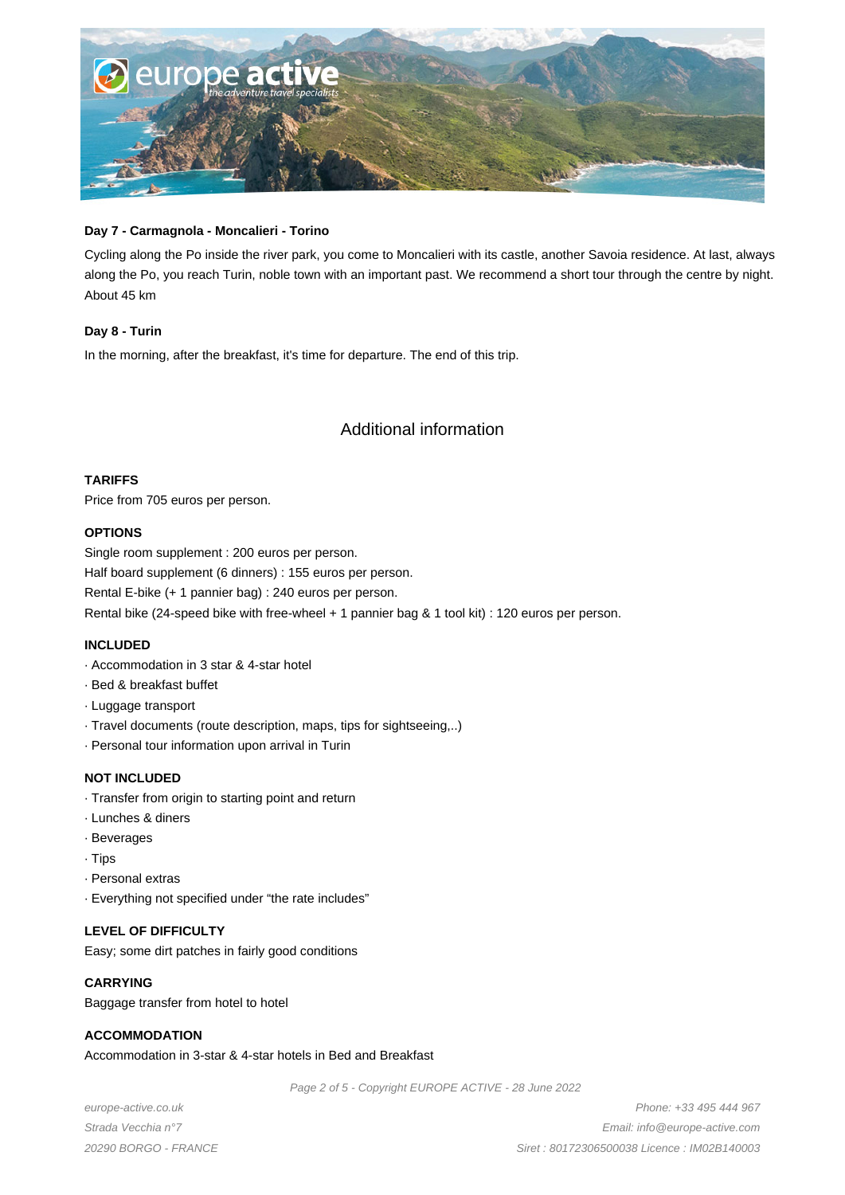

#### **Day 7 - Carmagnola - Moncalieri - Torino**

Cycling along the Po inside the river park, you come to Moncalieri with its castle, another Savoia residence. At last, always along the Po, you reach Turin, noble town with an important past. We recommend a short tour through the centre by night. About 45 km

#### **Day 8 - Turin**

In the morning, after the breakfast, it's time for departure. The end of this trip.

# Additional information

#### **TARIFFS**

Price from 705 euros per person.

#### **OPTIONS**

Single room supplement : 200 euros per person. Half board supplement (6 dinners) : 155 euros per person. Rental E-bike (+ 1 pannier bag) : 240 euros per person. Rental bike (24-speed bike with free-wheel + 1 pannier bag & 1 tool kit) : 120 euros per person.

#### **INCLUDED**

- · Accommodation in 3 star & 4-star hotel
- · Bed & breakfast buffet
- · Luggage transport
- · Travel documents (route description, maps, tips for sightseeing,..)
- · Personal tour information upon arrival in Turin

#### **NOT INCLUDED**

- · Transfer from origin to starting point and return
- · Lunches & diners
- · Beverages
- · Tips
- · Personal extras
- · Everything not specified under "the rate includes"

# **LEVEL OF DIFFICULTY**

Easy; some dirt patches in fairly good conditions

#### **CARRYING**

Baggage transfer from hotel to hotel

#### **ACCOMMODATION**

Accommodation in 3-star & 4-star hotels in Bed and Breakfast

Page 2 of 5 - Copyright EUROPE ACTIVE - 28 June 2022

europe-active.co.uk Strada Vecchia n°7 20290 BORGO - FRANCE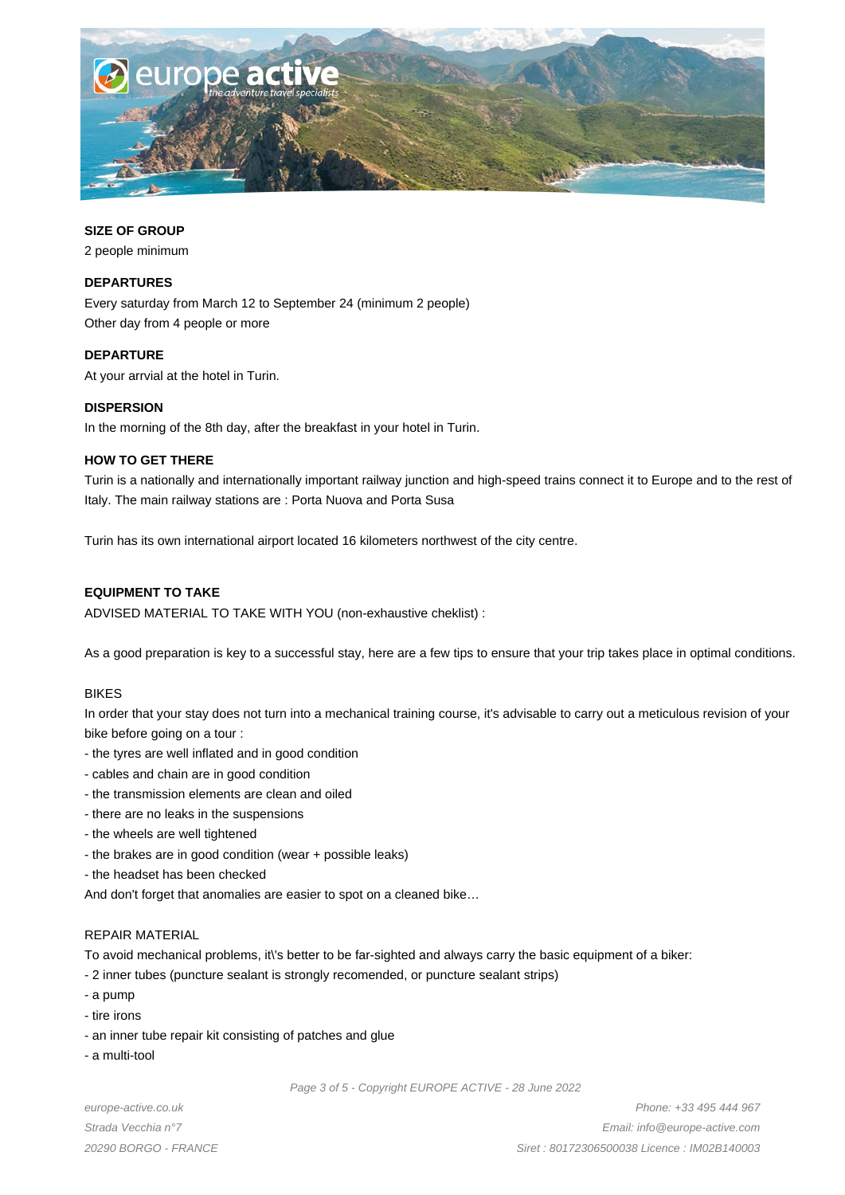

### **SIZE OF GROUP**

2 people minimum

# **DEPARTURES**

Every saturday from March 12 to September 24 (minimum 2 people) Other day from 4 people or more

#### **DEPARTURE**

At your arrvial at the hotel in Turin.

# **DISPERSION**

In the morning of the 8th day, after the breakfast in your hotel in Turin.

# **HOW TO GET THERE**

Turin is a nationally and internationally important railway junction and high-speed trains connect it to Europe and to the rest of Italy. The main railway stations are : Porta Nuova and Porta Susa

Turin has its own international airport located 16 kilometers northwest of the city centre.

# **EQUIPMENT TO TAKE**

ADVISED MATERIAL TO TAKE WITH YOU (non-exhaustive cheklist) :

As a good preparation is key to a successful stay, here are a few tips to ensure that your trip takes place in optimal conditions.

#### BIKES

In order that your stay does not turn into a mechanical training course, it's advisable to carry out a meticulous revision of your bike before going on a tour :

- the tyres are well inflated and in good condition
- cables and chain are in good condition
- the transmission elements are clean and oiled
- there are no leaks in the suspensions
- the wheels are well tightened
- the brakes are in good condition (wear + possible leaks)
- the headset has been checked

And don't forget that anomalies are easier to spot on a cleaned bike…

#### REPAIR MATERIAL

To avoid mechanical problems, it\'s better to be far-sighted and always carry the basic equipment of a biker:

- 2 inner tubes (puncture sealant is strongly recomended, or puncture sealant strips)
- a pump
- tire irons
- an inner tube repair kit consisting of patches and glue
- a multi-tool

Page 3 of 5 - Copyright EUROPE ACTIVE - 28 June 2022

europe-active.co.uk Strada Vecchia n°7 20290 BORGO - FRANCE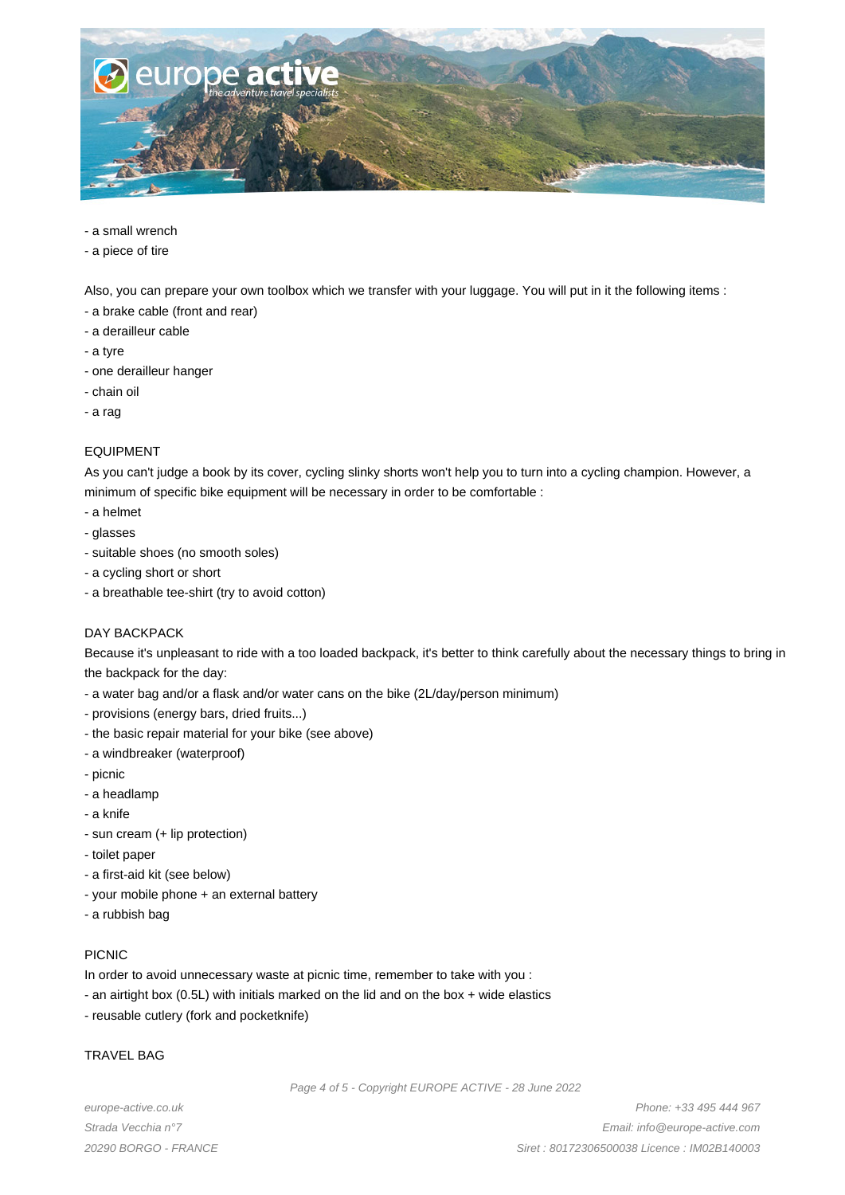

- a small wrench
- a piece of tire

Also, you can prepare your own toolbox which we transfer with your luggage. You will put in it the following items :

- a brake cable (front and rear)
- a derailleur cable
- a tyre
- one derailleur hanger
- chain oil
- a rag

#### EQUIPMENT

As you can't judge a book by its cover, cycling slinky shorts won't help you to turn into a cycling champion. However, a minimum of specific bike equipment will be necessary in order to be comfortable :

- a helmet
- glasses
- suitable shoes (no smooth soles)
- a cycling short or short
- a breathable tee-shirt (try to avoid cotton)

#### DAY BACKPACK

Because it's unpleasant to ride with a too loaded backpack, it's better to think carefully about the necessary things to bring in the backpack for the day:

- a water bag and/or a flask and/or water cans on the bike (2L/day/person minimum)
- provisions (energy bars, dried fruits...)
- the basic repair material for your bike (see above)
- a windbreaker (waterproof)
- picnic
- a headlamp
- a knife
- sun cream (+ lip protection)
- toilet paper
- a first-aid kit (see below)
- your mobile phone + an external battery
- a rubbish bag

#### PICNIC

In order to avoid unnecessary waste at picnic time, remember to take with you :

- an airtight box (0.5L) with initials marked on the lid and on the box + wide elastics
- reusable cutlery (fork and pocketknife)

#### TRAVEL BAG

Page 4 of 5 - Copyright EUROPE ACTIVE - 28 June 2022

europe-active.co.uk Strada Vecchia n°7 20290 BORGO - FRANCE